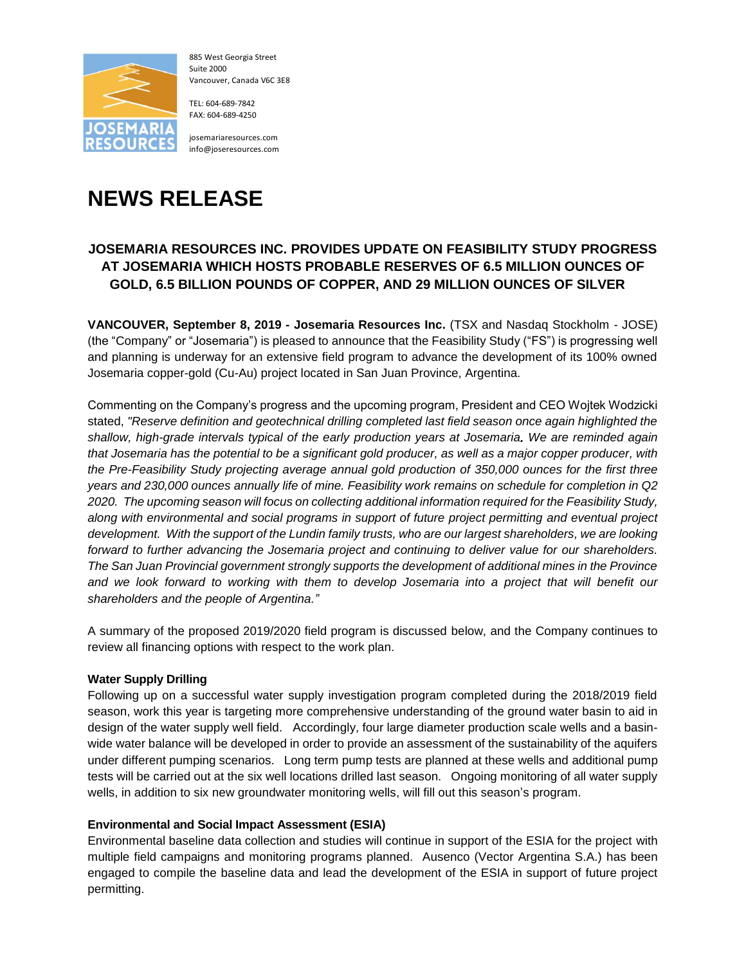

885 West Georgia Street Suite 2000 Vancouver, Canada V6C 3E8

TEL: 604-689-7842 FAX: 604-689-4250

josemariaresources.com info@joseresources.com

# **NEWS RELEASE**

## **JOSEMARIA RESOURCES INC. PROVIDES UPDATE ON FEASIBILITY STUDY PROGRESS AT JOSEMARIA WHICH HOSTS PROBABLE RESERVES OF 6.5 MILLION OUNCES OF GOLD, 6.5 BILLION POUNDS OF COPPER, AND 29 MILLION OUNCES OF SILVER**

**VANCOUVER, September 8, 2019 - Josemaria Resources Inc.** (TSX and Nasdaq Stockholm - JOSE) (the "Company" or "Josemaria") is pleased to announce that the Feasibility Study ("FS") is progressing well and planning is underway for an extensive field program to advance the development of its 100% owned Josemaria copper-gold (Cu-Au) project located in San Juan Province, Argentina.

Commenting on the Company's progress and the upcoming program, President and CEO Wojtek Wodzicki stated, *"Reserve definition and geotechnical drilling completed last field season once again highlighted the shallow, high-grade intervals typical of the early production years at Josemaria. We are reminded again that Josemaria has the potential to be a significant gold producer, as well as a major copper producer, with the Pre-Feasibility Study projecting average annual gold production of 350,000 ounces for the first three years and 230,000 ounces annually life of mine. Feasibility work remains on schedule for completion in Q2 2020. The upcoming season will focus on collecting additional information required for the Feasibility Study, along with environmental and social programs in support of future project permitting and eventual project development. With the support of the Lundin family trusts, who are our largest shareholders, we are looking forward to further advancing the Josemaria project and continuing to deliver value for our shareholders. The San Juan Provincial government strongly supports the development of additional mines in the Province and we look forward to working with them to develop Josemaria into a project that will benefit our shareholders and the people of Argentina."*

A summary of the proposed 2019/2020 field program is discussed below, and the Company continues to review all financing options with respect to the work plan.

### **Water Supply Drilling**

Following up on a successful water supply investigation program completed during the 2018/2019 field season, work this year is targeting more comprehensive understanding of the ground water basin to aid in design of the water supply well field. Accordingly, four large diameter production scale wells and a basinwide water balance will be developed in order to provide an assessment of the sustainability of the aquifers under different pumping scenarios. Long term pump tests are planned at these wells and additional pump tests will be carried out at the six well locations drilled last season. Ongoing monitoring of all water supply wells, in addition to six new groundwater monitoring wells, will fill out this season's program.

#### **Environmental and Social Impact Assessment (ESIA)**

Environmental baseline data collection and studies will continue in support of the ESIA for the project with multiple field campaigns and monitoring programs planned. Ausenco (Vector Argentina S.A.) has been engaged to compile the baseline data and lead the development of the ESIA in support of future project permitting.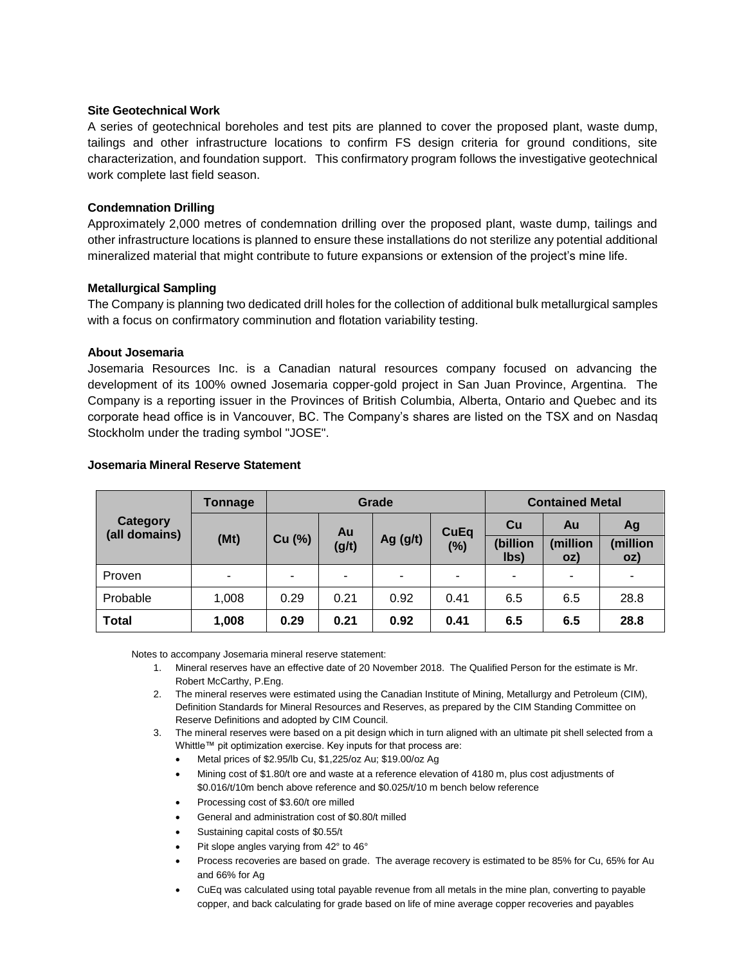#### **Site Geotechnical Work**

A series of geotechnical boreholes and test pits are planned to cover the proposed plant, waste dump, tailings and other infrastructure locations to confirm FS design criteria for ground conditions, site characterization, and foundation support. This confirmatory program follows the investigative geotechnical work complete last field season.

#### **Condemnation Drilling**

Approximately 2,000 metres of condemnation drilling over the proposed plant, waste dump, tailings and other infrastructure locations is planned to ensure these installations do not sterilize any potential additional mineralized material that might contribute to future expansions or extension of the project's mine life.

#### **Metallurgical Sampling**

The Company is planning two dedicated drill holes for the collection of additional bulk metallurgical samples with a focus on confirmatory comminution and flotation variability testing.

#### **About Josemaria**

Josemaria Resources Inc. is a Canadian natural resources company focused on advancing the development of its 100% owned Josemaria copper-gold project in San Juan Province, Argentina. The Company is a reporting issuer in the Provinces of British Columbia, Alberta, Ontario and Quebec and its corporate head office is in Vancouver, BC. The Company's shares are listed on the TSX and on Nasdaq Stockholm under the trading symbol "JOSE".

| <b>Category</b><br>(all domains) | Tonnage | Grade  |             |            |                       | <b>Contained Metal</b> |                 |                 |
|----------------------------------|---------|--------|-------------|------------|-----------------------|------------------------|-----------------|-----------------|
|                                  | (Mt)    | Cu (%) | Au<br>(g/t) | Ag $(g/t)$ | <b>CuEq</b><br>$(\%)$ | Cu                     | Au              | Ag              |
|                                  |         |        |             |            |                       | (billion<br>lbs)       | (million<br>OZ) | (million<br>oz) |
| <b>Proven</b>                    | ۰       |        |             | ۰          | ٠                     |                        | ٠               | ۰               |
| Probable                         | 1,008   | 0.29   | 0.21        | 0.92       | 0.41                  | 6.5                    | 6.5             | 28.8            |
| <b>Total</b>                     | 1,008   | 0.29   | 0.21        | 0.92       | 0.41                  | 6.5                    | 6.5             | 28.8            |

#### **Josemaria Mineral Reserve Statement**

Notes to accompany Josemaria mineral reserve statement:

- 1. Mineral reserves have an effective date of 20 November 2018. The Qualified Person for the estimate is Mr. Robert McCarthy, P.Eng.
- 2. The mineral reserves were estimated using the Canadian Institute of Mining, Metallurgy and Petroleum (CIM), Definition Standards for Mineral Resources and Reserves, as prepared by the CIM Standing Committee on Reserve Definitions and adopted by CIM Council.
- 3. The mineral reserves were based on a pit design which in turn aligned with an ultimate pit shell selected from a Whittle™ pit optimization exercise. Key inputs for that process are:
	- Metal prices of \$2.95/lb Cu, \$1,225/oz Au; \$19.00/oz Ag
	- Mining cost of \$1.80/t ore and waste at a reference elevation of 4180 m, plus cost adjustments of \$0.016/t/10m bench above reference and \$0.025/t/10 m bench below reference
	- Processing cost of \$3.60/t ore milled
	- General and administration cost of \$0.80/t milled
	- Sustaining capital costs of \$0.55/t
	- Pit slope angles varying from 42° to 46°
	- Process recoveries are based on grade. The average recovery is estimated to be 85% for Cu, 65% for Au and 66% for Ag
	- CuEq was calculated using total payable revenue from all metals in the mine plan, converting to payable copper, and back calculating for grade based on life of mine average copper recoveries and payables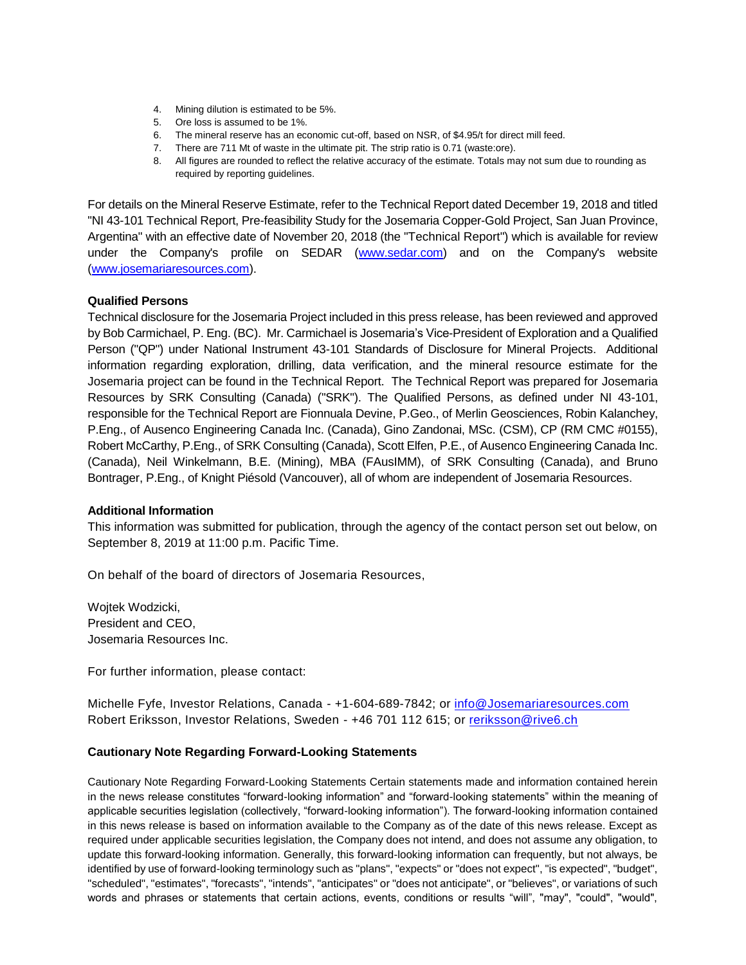- 4. Mining dilution is estimated to be 5%.
- 5. Ore loss is assumed to be 1%.
- 6. The mineral reserve has an economic cut-off, based on NSR, of \$4.95/t for direct mill feed.
- 7. There are 711 Mt of waste in the ultimate pit. The strip ratio is 0.71 (waste:ore).
- 8. All figures are rounded to reflect the relative accuracy of the estimate. Totals may not sum due to rounding as required by reporting guidelines.

For details on the Mineral Reserve Estimate, refer to the Technical Report dated December 19, 2018 and titled "NI 43-101 Technical Report, Pre-feasibility Study for the Josemaria Copper-Gold Project, San Juan Province, Argentina" with an effective date of November 20, 2018 (the "Technical Report") which is available for review under the Company's profile on SEDAR [\(www.sedar.com\)](http://www.sedar.com/) and on the Company's website [\(www.josemariaresources.com\)](http://www.josemariaresources.com/).

#### **Qualified Persons**

Technical disclosure for the Josemaria Project included in this press release, has been reviewed and approved by Bob Carmichael, P. Eng. (BC). Mr. Carmichael is Josemaria's Vice-President of Exploration and a Qualified Person ("QP") under National Instrument 43-101 Standards of Disclosure for Mineral Projects. Additional information regarding exploration, drilling, data verification, and the mineral resource estimate for the Josemaria project can be found in the Technical Report. The Technical Report was prepared for Josemaria Resources by SRK Consulting (Canada) ("SRK"). The Qualified Persons, as defined under NI 43-101, responsible for the Technical Report are Fionnuala Devine, P.Geo., of Merlin Geosciences, Robin Kalanchey, P.Eng., of Ausenco Engineering Canada Inc. (Canada), Gino Zandonai, MSc. (CSM), CP (RM CMC #0155), Robert McCarthy, P.Eng., of SRK Consulting (Canada), Scott Elfen, P.E., of Ausenco Engineering Canada Inc. (Canada), Neil Winkelmann, B.E. (Mining), MBA (FAusIMM), of SRK Consulting (Canada), and Bruno Bontrager, P.Eng., of Knight Piésold (Vancouver), all of whom are independent of Josemaria Resources.

#### **Additional Information**

This information was submitted for publication, through the agency of the contact person set out below, on September 8, 2019 at 11:00 p.m. Pacific Time.

On behalf of the board of directors of Josemaria Resources,

Wojtek Wodzicki, President and CEO, Josemaria Resources Inc.

For further information, please contact:

Michelle Fyfe, Investor Relations, Canada - +1-604-689-7842; or [info@Josemariaresources.com](mailto:info@josemariaresources.com) Robert Eriksson, Investor Relations, Sweden - +46 701 112 615; or [reriksson@rive6.ch](mailto:reriksson@rive6.ch)

#### **Cautionary Note Regarding Forward-Looking Statements**

Cautionary Note Regarding Forward-Looking Statements Certain statements made and information contained herein in the news release constitutes "forward-looking information" and "forward-looking statements" within the meaning of applicable securities legislation (collectively, "forward-looking information"). The forward-looking information contained in this news release is based on information available to the Company as of the date of this news release. Except as required under applicable securities legislation, the Company does not intend, and does not assume any obligation, to update this forward-looking information. Generally, this forward-looking information can frequently, but not always, be identified by use of forward-looking terminology such as "plans", "expects" or "does not expect", "is expected", "budget", "scheduled", "estimates", "forecasts", "intends", "anticipates" or "does not anticipate", or "believes", or variations of such words and phrases or statements that certain actions, events, conditions or results "will", "may", "could", "would",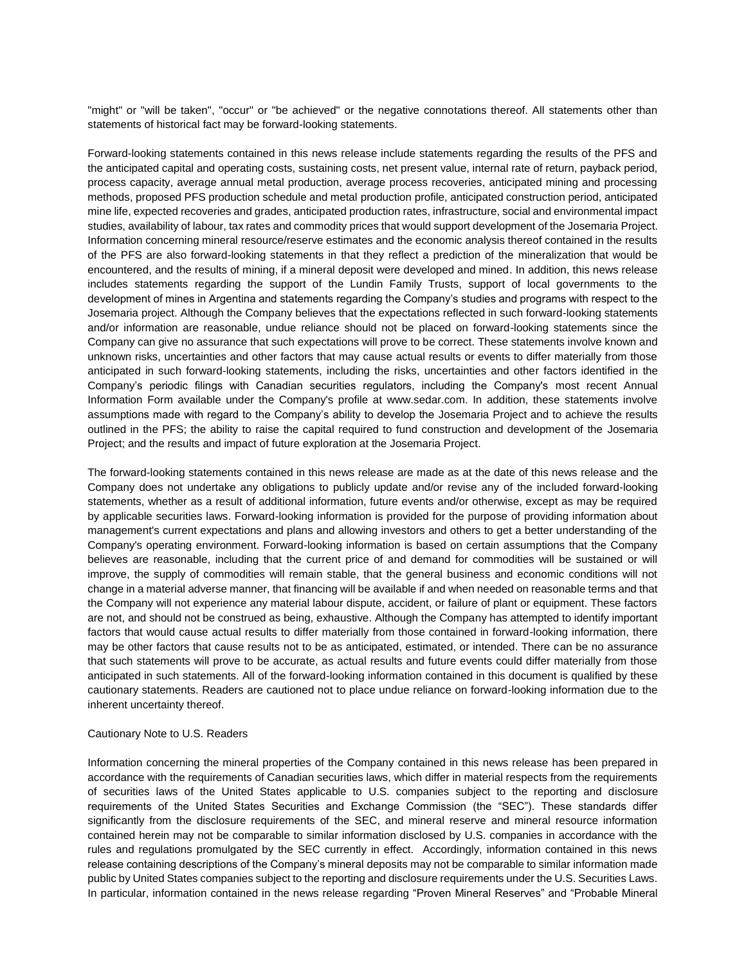"might" or "will be taken", "occur" or "be achieved" or the negative connotations thereof. All statements other than statements of historical fact may be forward-looking statements.

Forward-looking statements contained in this news release include statements regarding the results of the PFS and the anticipated capital and operating costs, sustaining costs, net present value, internal rate of return, payback period, process capacity, average annual metal production, average process recoveries, anticipated mining and processing methods, proposed PFS production schedule and metal production profile, anticipated construction period, anticipated mine life, expected recoveries and grades, anticipated production rates, infrastructure, social and environmental impact studies, availability of labour, tax rates and commodity prices that would support development of the Josemaria Project. Information concerning mineral resource/reserve estimates and the economic analysis thereof contained in the results of the PFS are also forward-looking statements in that they reflect a prediction of the mineralization that would be encountered, and the results of mining, if a mineral deposit were developed and mined. In addition, this news release includes statements regarding the support of the Lundin Family Trusts, support of local governments to the development of mines in Argentina and statements regarding the Company's studies and programs with respect to the Josemaria project. Although the Company believes that the expectations reflected in such forward-looking statements and/or information are reasonable, undue reliance should not be placed on forward-looking statements since the Company can give no assurance that such expectations will prove to be correct. These statements involve known and unknown risks, uncertainties and other factors that may cause actual results or events to differ materially from those anticipated in such forward-looking statements, including the risks, uncertainties and other factors identified in the Company's periodic filings with Canadian securities regulators, including the Company's most recent Annual Information Form available under the Company's profile at www.sedar.com. In addition, these statements involve assumptions made with regard to the Company's ability to develop the Josemaria Project and to achieve the results outlined in the PFS; the ability to raise the capital required to fund construction and development of the Josemaria Project; and the results and impact of future exploration at the Josemaria Project.

The forward-looking statements contained in this news release are made as at the date of this news release and the Company does not undertake any obligations to publicly update and/or revise any of the included forward-looking statements, whether as a result of additional information, future events and/or otherwise, except as may be required by applicable securities laws. Forward-looking information is provided for the purpose of providing information about management's current expectations and plans and allowing investors and others to get a better understanding of the Company's operating environment. Forward-looking information is based on certain assumptions that the Company believes are reasonable, including that the current price of and demand for commodities will be sustained or will improve, the supply of commodities will remain stable, that the general business and economic conditions will not change in a material adverse manner, that financing will be available if and when needed on reasonable terms and that the Company will not experience any material labour dispute, accident, or failure of plant or equipment. These factors are not, and should not be construed as being, exhaustive. Although the Company has attempted to identify important factors that would cause actual results to differ materially from those contained in forward-looking information, there may be other factors that cause results not to be as anticipated, estimated, or intended. There can be no assurance that such statements will prove to be accurate, as actual results and future events could differ materially from those anticipated in such statements. All of the forward-looking information contained in this document is qualified by these cautionary statements. Readers are cautioned not to place undue reliance on forward-looking information due to the inherent uncertainty thereof.

#### Cautionary Note to U.S. Readers

Information concerning the mineral properties of the Company contained in this news release has been prepared in accordance with the requirements of Canadian securities laws, which differ in material respects from the requirements of securities laws of the United States applicable to U.S. companies subject to the reporting and disclosure requirements of the United States Securities and Exchange Commission (the "SEC"). These standards differ significantly from the disclosure requirements of the SEC, and mineral reserve and mineral resource information contained herein may not be comparable to similar information disclosed by U.S. companies in accordance with the rules and regulations promulgated by the SEC currently in effect. Accordingly, information contained in this news release containing descriptions of the Company's mineral deposits may not be comparable to similar information made public by United States companies subject to the reporting and disclosure requirements under the U.S. Securities Laws. In particular, information contained in the news release regarding "Proven Mineral Reserves" and "Probable Mineral